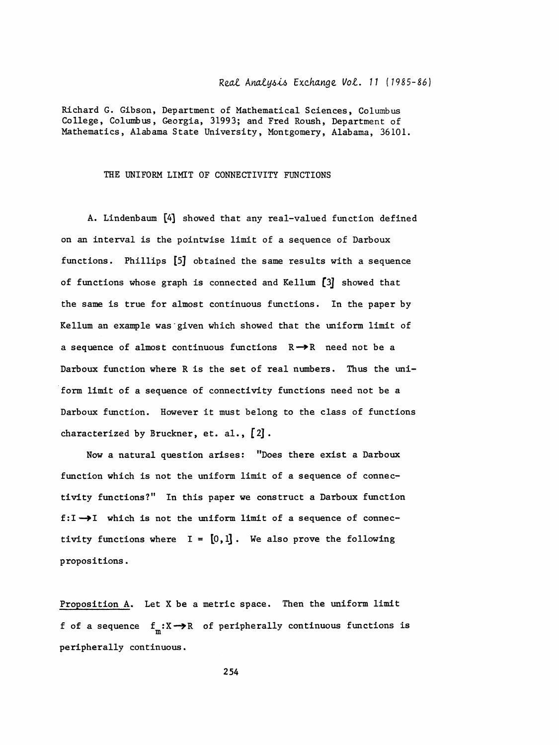## Real Analysis Exchange Vol. 11 (1985-86)

Richard G. Gibson, Department of Mathematical Sciences, Columbus College, Columbus, Georgia, 31993; and Fred Roush, Department of Mathematics, Alabama State University, Montgomery, Alabama, 36101.

## THE UNIFORM LIMIT OF CONNECTIVITY FUNCTIONS

A. Lindenbaum [4] showed that any real-valued function defined on an interval is the pointwise limit of a sequence of Darboux functions. Phillips [5] obtained the same results with a sequence of functions whose graph is connected and Kellum [3] showed that the same is true for almost continuous functions. In the paper by Kellum an example was given which showed that the uniform limit of a sequence of almost continuous functions  $R \rightarrow R$  need not be a Darboux function where R is the set of real numbers. Thus the uniform limit of a sequence of connectivity functions need not be a Darboux function. However it must belong to the class of functions characterized by Bruckner, et. al.,  $[2]$ .

Now a natural question arises: "Does there exist a Darboux function which is not the uniform limit of a sequence of connectivity functions?" In this paper we construct a Darboux function f:I->I which is not the uniform limit of a sequence of connectivity functions where  $I = [0, 1]$ . We also prove the following propositions.

Proposition A. Let X be a metric space. Then the uniform limit f of a sequence  $f_m: X \rightarrow \mathbb{R}$  of peripherally continuous functions is peripherally continuous.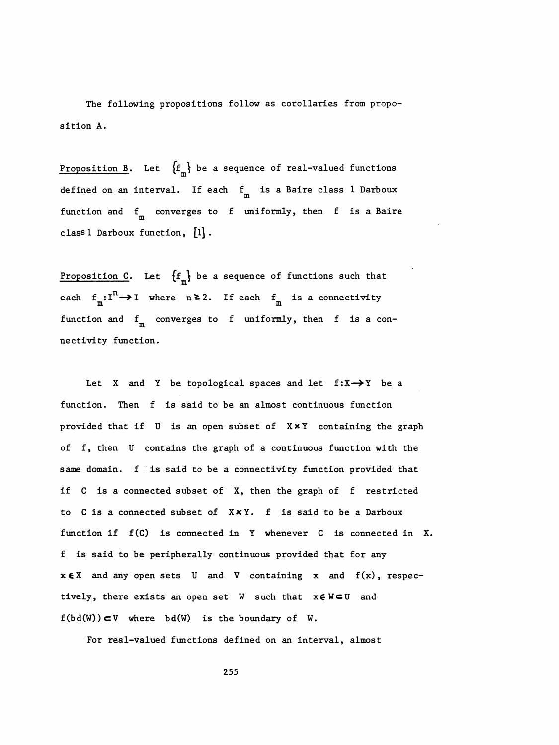The following propositions follow as corollaries from propo sition A.

Proposition B. Let  ${f_m \brace \mathbf{b}$  be a sequence of real-valued functions defined on an interval. If each  $f_{\scriptsize\mbox{m}}^{\phantom{\dagger}}$  is a Baire class  $1$  Darboux function and  $f_{\textrm{m}}^{\phantom{\dag}}$  converges to f uniformly, then <code>f</code> is a Baire class  $l$  Darboux function,  $[l]$ .

Proposition C. Let  $\{f_m\}$  be a sequence of functions such that each  $f_m: I^n \to I$  where  $n \ge 2$ . If each  $f_m$  is a connectivity function and  $f_m$  converges to f uniformly, then f is a connectivity function.

Let X and Y be topological spaces and let  $f: X \rightarrow Y$  be a function. Then f is said to be an almost continuous function provided that if  $U$  is an open subset of  $X \times Y$  containing the graph of f, then U contains the graph of a continuous function with the same domain, f is said to be a connectivity function provided that if C is a connected subset of X, then the graph of f restricted to C is a connected subset of XxY. f is said to be a Darboux function if f(C) is connected in Y whenever C is connected in X. f is said to be peripherally continuous provided that for any  $x \in X$  and any open sets U and V containing x and  $f(x)$ , respectively, there exists an open set  $W$  such that  $x \in W \subset U$  and  $f(bd(W))\subset V$  where bd(W) is the boundary of W.

For real-valued functions defined on an interval, almost

255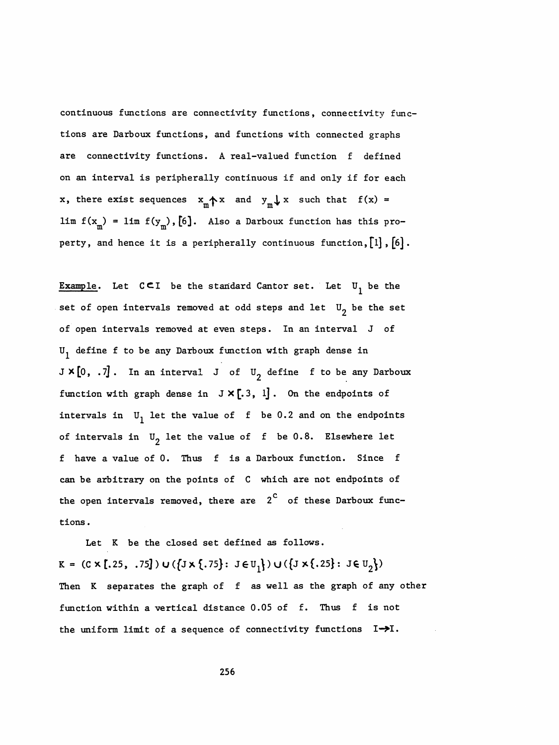continuous functions are connectivity functions, connectivity func tions are Darboux functions, and functions with connected graphs are connectivity functions. A real-valued function f defined on an interval is peripherally continuous if and only if for each x, there exist sequences  $x_m$   $\uparrow$  x and  $y_m \downarrow$  x such that  $f(x) =$ lim f(x<sub>m</sub>) = lim f(y<sub>m</sub>),[6]. Also a Darboux function has this pro $f_{\text{m}}$ ) = lim f(y<sub>m</sub> lim  $f(x_m) = \lim_{m \to \infty} f(y_m)$ , [6]. Also a Darboux function has this pro-<br>perty, and hence it is a peripherally continuous function, [1], [6].

Example. Let  $C \subset I$  be the standard Cantor set. Let  $U_1$  be the set of open intervals removed at odd steps and let  $U_{p}$  be the set of open intervals removed at even steps. In an interval J of  $U_1$  define f to be any Darboux function with graph dense in  $J \times [0, .7]$ . In an interval J of  $U_2$  define f to be any Darboux function with graph dense in  $J \times [.3, 1]$ . On the endpoints of intervals in  $U_1$  let the value of f be 0.2 and on the endpoints of intervals in  $U_2$  let the value of f be 0.8. Elsewhere let f have a value of 0. Thus f is a Darboux function. Since f can be arbitrary on the points of C which are not endpoints of the open intervals removed, there are  $2^{\text{c}}$  of these Darboux functions .

 Let K be the closed set defined as follows. K = (C X [.25, .75]) U ({J x {.75} : J  $\in U_1$ }) U ({J x {.25} : J  $\in U_2'$ ) Then K separates the graph of f as well as the graph of any other function within a vertical distance 0.05 of f. Thus f is not the uniform limit of a sequence of connectivity functions  $I \rightarrow I$ .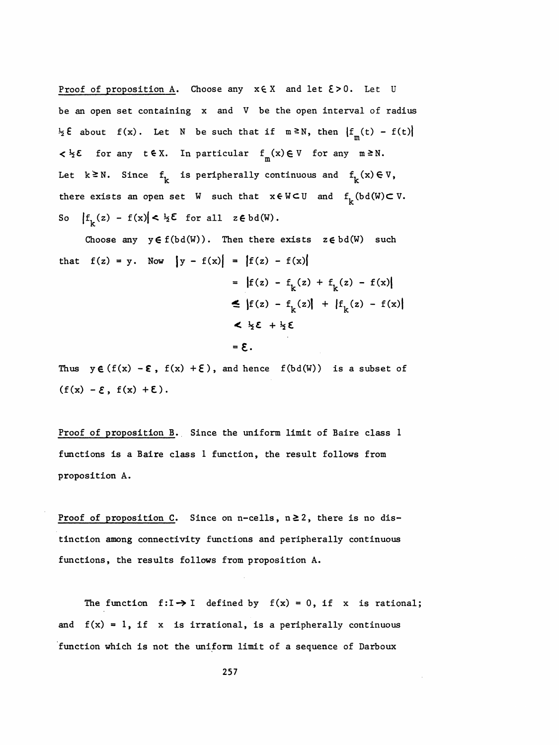Proof of proposition A. Choose any  $x \in X$  and let  $\xi > 0$ . Let U be an open set containing x and V be the open interval of radius  $\frac{1}{2} \xi$  about  $f(x)$ . Let N be such that if  $m \ge N$ , then  $|f_m(t) - f(t)|$  $\langle x \rangle \in \mathcal{K}$  for any t $\xi \in X$ . In particular  $f_m(x) \in V$  for any m ≥N. Let  $k \geq N$ . Since  $f^k_k$  is peripherally continuous and  $f^k_k(x) \in V$ , there exists an open set W such that  $x \in W \subset U$  and  $f^L_{\nu}(\text{bd}(W) \subset V$ . So  $|f_k(z) - f(x)| < \frac{1}{2} \xi$  for all  $z \in bd(W)$ .

Choose any  $y \in f(bd(W))$ . Then there exists  $z \in bd(W)$  such that  $f(z) = y$ . Now  $|y - f(x)| = |f(z) - f(x)|$ =  $|f(z) - f_k(z) + f_k(z) - f(x)|$  $\leq |f(z) - f_k(z)| + |f_k(z) - f(x)|$  $2\frac{1}{2}\xi + \frac{1}{2}\xi$ 

 $-5 =$ 

Thus  $y \in (f(x) - \epsilon, f(x) + \epsilon)$ , and hence  $f(bd(W))$  is a subset of  $(f(x) - \mathcal{E}, f(x) + \mathcal{E}).$ 

 Proof of proposition B. Since the uniform limit of Baire class 1 functions is a Baire class 1 function, the result follows from proposition A.

Proof of proposition C. Since on n-cells,  $n \ge 2$ , there is no dis tinction among connectivity functions and peripherally continuous functions, the results follows from proposition A.

The function  $f:I \rightarrow I$  defined by  $f(x) = 0$ , if x is rational; and  $f(x) = 1$ , if x is irrational, is a peripherally continuous function which is not the uniform limit of a sequence of Darboux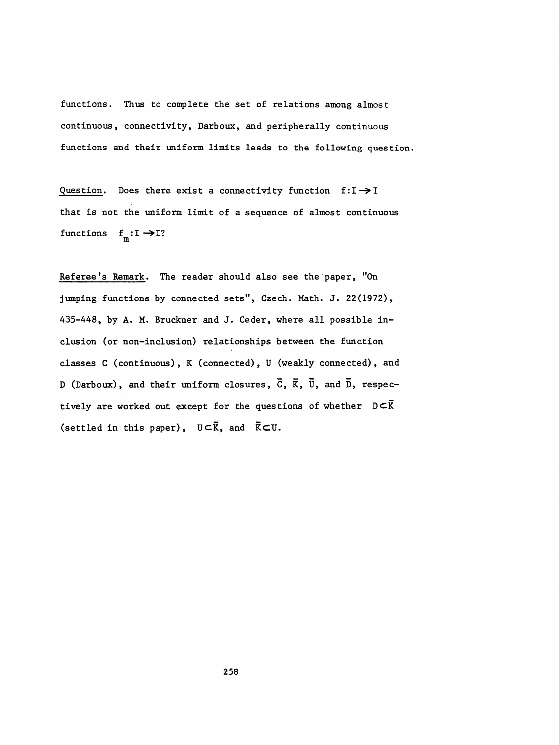functions. Thus to complete the set of relations among almost continuous, connectivity, Darboux, and peripherally continuous functions and their uniform limits leads to the following question.

Question. Does there exist a connectivity function  $f:I \rightarrow I$  that is not the uniform limit of a sequence of almost continuous functions  $f_m: I \rightarrow I$ ?

Referee's Remark. The reader should also see the paper, "On jumping functions by connected sets", Czech. Math. J. 22(1972), 435-448, by A. M. Bruckner and J. Ceder, where all possible in clusion (or non-inclusion) relationships between the function classes C (continuous), K (connected), U (weakly connected), and D (Darboux), and their uniform closures,  $\bar{C}$ ,  $\bar{K}$ ,  $\bar{U}$ , and  $\bar{D}$ , respectively are worked out except for the questions of whether  $D \subset \overline{K}$ (settled in this paper),  $U\subset\overline{K}$ , and  $\overline{K}\subset U$ .